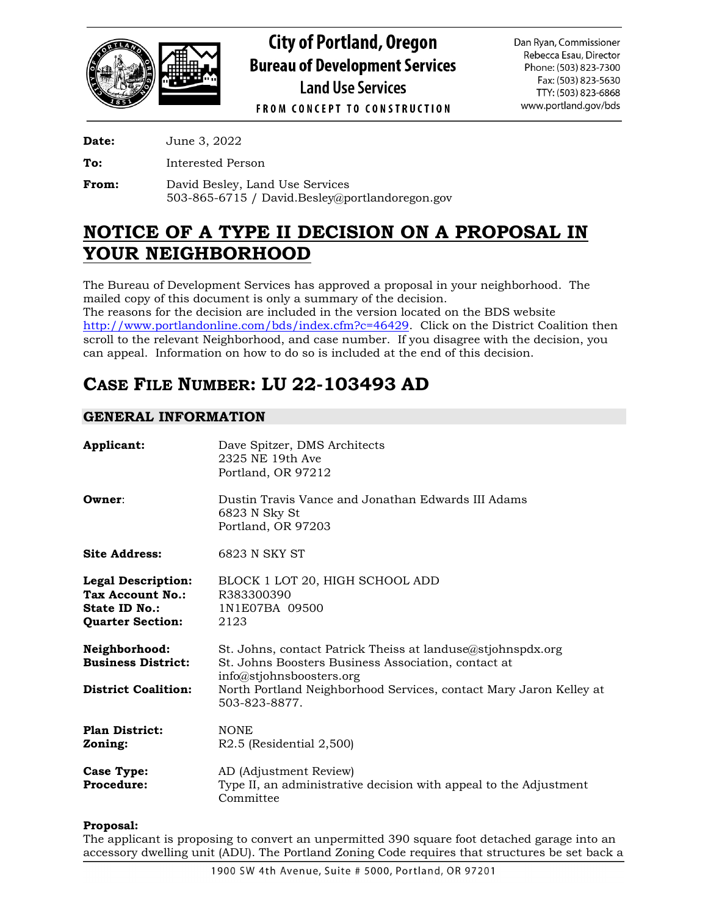

**City of Portland, Oregon Bureau of Development Services Land Use Services** 

Dan Ryan, Commissioner Rebecca Esau, Director Phone: (503) 823-7300 Fax: (503) 823-5630 TTY: (503) 823-6868 www.portland.gov/bds

**FROM CONCEPT TO CONSTRUCTION** 

**Date:** June 3, 2022

**To:** Interested Person

**From:** David Besley, Land Use Services 503-865-6715 / David.Besley@portlandoregon.gov

# **NOTICE OF A TYPE II DECISION ON A PROPOSAL IN YOUR NEIGHBORHOOD**

The Bureau of Development Services has approved a proposal in your neighborhood. The mailed copy of this document is only a summary of the decision. The reasons for the decision are included in the version located on the BDS website [http://www.portlandonline.com/bds/index.cfm?c=46429.](http://www.portlandonline.com/bds/index.cfm?c=46429) Click on the District Coalition then scroll to the relevant Neighborhood, and case number. If you disagree with the decision, you can appeal. Information on how to do so is included at the end of this decision.

# **CASE FILE NUMBER: LU 22-103493 AD**

# **GENERAL INFORMATION**

| Applicant:                                                                                       | Dave Spitzer, DMS Architects<br>2325 NE 19th Ave<br>Portland, OR 97212                                                                                                                                                                |
|--------------------------------------------------------------------------------------------------|---------------------------------------------------------------------------------------------------------------------------------------------------------------------------------------------------------------------------------------|
| Owner:                                                                                           | Dustin Travis Vance and Jonathan Edwards III Adams<br>6823 N Sky St<br>Portland, OR 97203                                                                                                                                             |
| <b>Site Address:</b>                                                                             | 6823 N SKY ST                                                                                                                                                                                                                         |
| <b>Legal Description:</b><br>Tax Account No.:<br><b>State ID No.:</b><br><b>Quarter Section:</b> | BLOCK 1 LOT 20, HIGH SCHOOL ADD<br>R383300390<br>1N1E07BA 09500<br>2123                                                                                                                                                               |
| Neighborhood:<br><b>Business District:</b><br><b>District Coalition:</b>                         | St. Johns, contact Patrick Theiss at landuse@stjohnspdx.org<br>St. Johns Boosters Business Association, contact at<br>info@stjohnsboosters.org<br>North Portland Neighborhood Services, contact Mary Jaron Kelley at<br>503-823-8877. |
| <b>Plan District:</b><br>Zoning:                                                                 | <b>NONE</b><br>$R2.5$ (Residential $2,500$ )                                                                                                                                                                                          |
| <b>Case Type:</b><br><b>Procedure:</b>                                                           | AD (Adjustment Review)<br>Type II, an administrative decision with appeal to the Adjustment<br>Committee                                                                                                                              |

## **Proposal:**

The applicant is proposing to convert an unpermitted 390 square foot detached garage into an accessory dwelling unit (ADU). The Portland Zoning Code requires that structures be set back a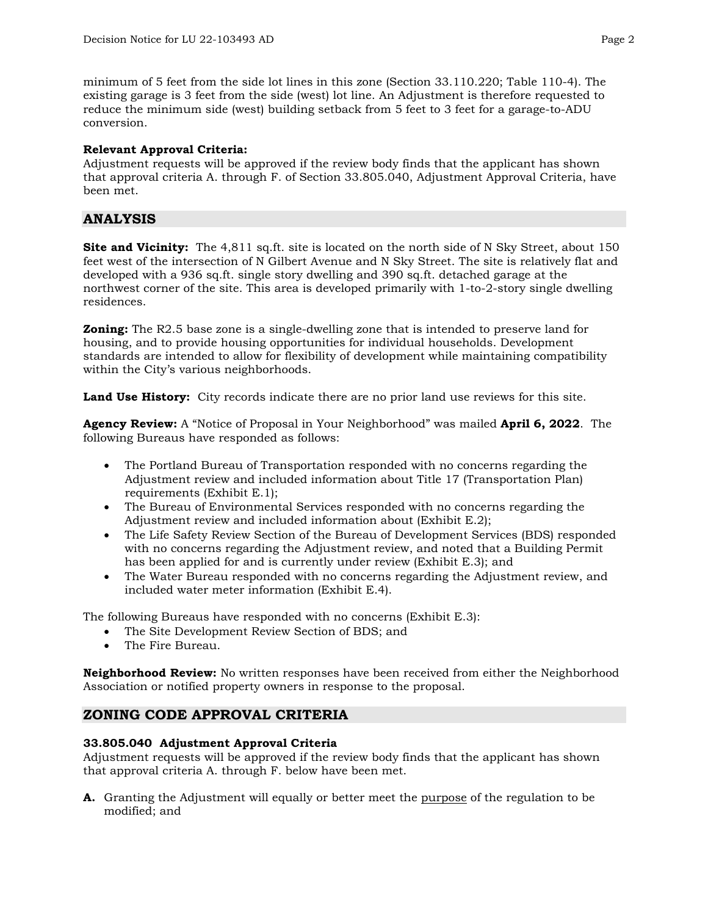minimum of 5 feet from the side lot lines in this zone (Section 33.110.220; Table 110-4). The existing garage is 3 feet from the side (west) lot line. An Adjustment is therefore requested to reduce the minimum side (west) building setback from 5 feet to 3 feet for a garage-to-ADU conversion.

### **Relevant Approval Criteria:**

Adjustment requests will be approved if the review body finds that the applicant has shown that approval criteria A. through F. of Section 33.805.040, Adjustment Approval Criteria, have been met.

# **ANALYSIS**

**Site and Vicinity:** The 4,811 sq.ft. site is located on the north side of N Sky Street, about 150 feet west of the intersection of N Gilbert Avenue and N Sky Street. The site is relatively flat and developed with a 936 sq.ft. single story dwelling and 390 sq.ft. detached garage at the northwest corner of the site. This area is developed primarily with 1-to-2-story single dwelling residences.

**Zoning:** The R2.5 base zone is a single-dwelling zone that is intended to preserve land for housing, and to provide housing opportunities for individual households. Development standards are intended to allow for flexibility of development while maintaining compatibility within the City's various neighborhoods.

**Land Use History:** City records indicate there are no prior land use reviews for this site.

**Agency Review:** A "Notice of Proposal in Your Neighborhood" was mailed **April 6, 2022**. The following Bureaus have responded as follows:

- The Portland Bureau of Transportation responded with no concerns regarding the Adjustment review and included information about Title 17 (Transportation Plan) requirements (Exhibit E.1);
- The Bureau of Environmental Services responded with no concerns regarding the Adjustment review and included information about (Exhibit E.2);
- The Life Safety Review Section of the Bureau of Development Services (BDS) responded with no concerns regarding the Adjustment review, and noted that a Building Permit has been applied for and is currently under review (Exhibit E.3); and
- The Water Bureau responded with no concerns regarding the Adjustment review, and included water meter information (Exhibit E.4).

The following Bureaus have responded with no concerns (Exhibit E.3):

- The Site Development Review Section of BDS; and
- The Fire Bureau.

**Neighborhood Review:** No written responses have been received from either the Neighborhood Association or notified property owners in response to the proposal.

# **ZONING CODE APPROVAL CRITERIA**

## **33.805.040 Adjustment Approval Criteria**

Adjustment requests will be approved if the review body finds that the applicant has shown that approval criteria A. through F. below have been met.

**A.** Granting the Adjustment will equally or better meet the purpose of the regulation to be modified; and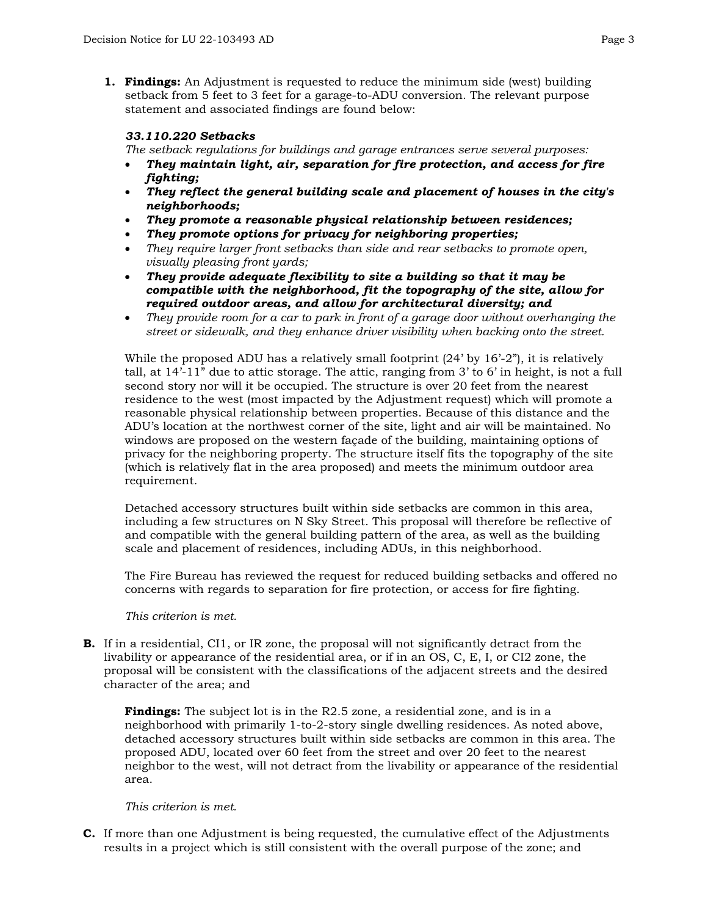**1. Findings:** An Adjustment is requested to reduce the minimum side (west) building setback from 5 feet to 3 feet for a garage-to-ADU conversion. The relevant purpose statement and associated findings are found below:

## *33.110.220 Setbacks*

*The setback regulations for buildings and garage entrances serve several purposes:*

- *They maintain light, air, separation for fire protection, and access for fire fighting;*
- *They reflect the general building scale and placement of houses in the city's neighborhoods;*
- *They promote a reasonable physical relationship between residences;*
- *They promote options for privacy for neighboring properties;*
- *They require larger front setbacks than side and rear setbacks to promote open, visually pleasing front yards;*
- *They provide adequate flexibility to site a building so that it may be compatible with the neighborhood, fit the topography of the site, allow for required outdoor areas, and allow for architectural diversity; and*
- *They provide room for a car to park in front of a garage door without overhanging the street or sidewalk, and they enhance driver visibility when backing onto the street.*

While the proposed ADU has a relatively small footprint  $(24)$  by  $16'-2$ "), it is relatively tall, at 14'-11" due to attic storage. The attic, ranging from 3' to 6' in height, is not a full second story nor will it be occupied. The structure is over 20 feet from the nearest residence to the west (most impacted by the Adjustment request) which will promote a reasonable physical relationship between properties. Because of this distance and the ADU's location at the northwest corner of the site, light and air will be maintained. No windows are proposed on the western façade of the building, maintaining options of privacy for the neighboring property. The structure itself fits the topography of the site (which is relatively flat in the area proposed) and meets the minimum outdoor area requirement.

Detached accessory structures built within side setbacks are common in this area, including a few structures on N Sky Street. This proposal will therefore be reflective of and compatible with the general building pattern of the area, as well as the building scale and placement of residences, including ADUs, in this neighborhood.

The Fire Bureau has reviewed the request for reduced building setbacks and offered no concerns with regards to separation for fire protection, or access for fire fighting.

#### *This criterion is met.*

**B.** If in a residential, CI1, or IR zone, the proposal will not significantly detract from the livability or appearance of the residential area, or if in an OS, C, E, I, or CI2 zone, the proposal will be consistent with the classifications of the adjacent streets and the desired character of the area; and

**Findings:** The subject lot is in the R2.5 zone, a residential zone, and is in a neighborhood with primarily 1-to-2-story single dwelling residences. As noted above, detached accessory structures built within side setbacks are common in this area. The proposed ADU, located over 60 feet from the street and over 20 feet to the nearest neighbor to the west, will not detract from the livability or appearance of the residential area.

#### *This criterion is met.*

**C.** If more than one Adjustment is being requested, the cumulative effect of the Adjustments results in a project which is still consistent with the overall purpose of the zone; and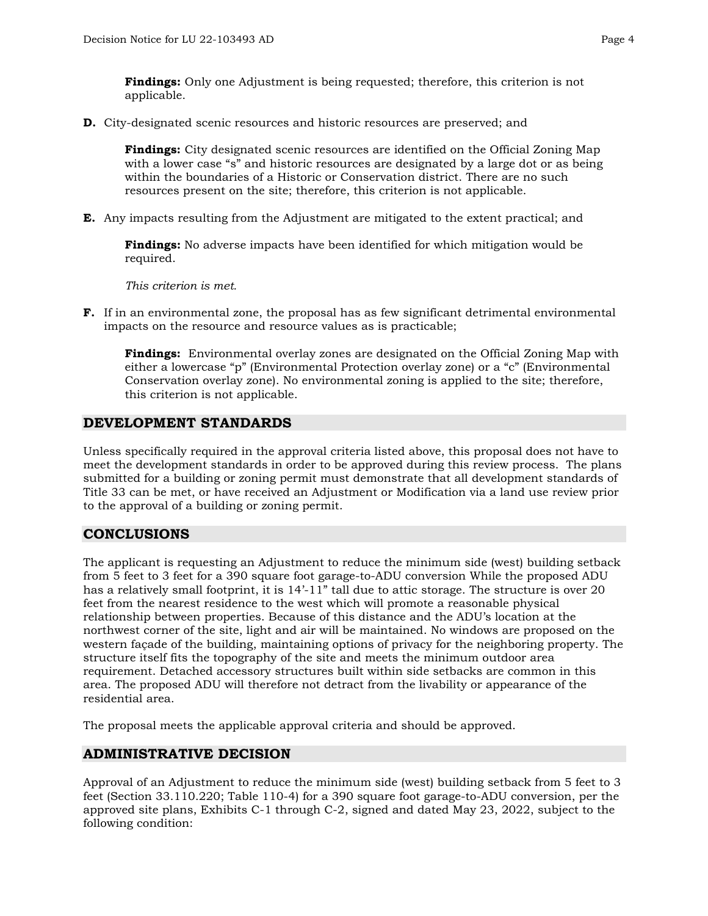**Findings:** Only one Adjustment is being requested; therefore, this criterion is not applicable.

**D.** City-designated scenic resources and historic resources are preserved; and

**Findings:** City designated scenic resources are identified on the Official Zoning Map with a lower case "s" and historic resources are designated by a large dot or as being within the boundaries of a Historic or Conservation district. There are no such resources present on the site; therefore, this criterion is not applicable.

**E.** Any impacts resulting from the Adjustment are mitigated to the extent practical; and

**Findings:** No adverse impacts have been identified for which mitigation would be required.

*This criterion is met.*

**F.** If in an environmental zone, the proposal has as few significant detrimental environmental impacts on the resource and resource values as is practicable;

**Findings:** Environmental overlay zones are designated on the Official Zoning Map with either a lowercase "p" (Environmental Protection overlay zone) or a "c" (Environmental Conservation overlay zone). No environmental zoning is applied to the site; therefore, this criterion is not applicable.

## **DEVELOPMENT STANDARDS**

Unless specifically required in the approval criteria listed above, this proposal does not have to meet the development standards in order to be approved during this review process. The plans submitted for a building or zoning permit must demonstrate that all development standards of Title 33 can be met, or have received an Adjustment or Modification via a land use review prior to the approval of a building or zoning permit.

# **CONCLUSIONS**

The applicant is requesting an Adjustment to reduce the minimum side (west) building setback from 5 feet to 3 feet for a 390 square foot garage-to-ADU conversion While the proposed ADU has a relatively small footprint, it is 14'-11" tall due to attic storage. The structure is over 20 feet from the nearest residence to the west which will promote a reasonable physical relationship between properties. Because of this distance and the ADU's location at the northwest corner of the site, light and air will be maintained. No windows are proposed on the western façade of the building, maintaining options of privacy for the neighboring property. The structure itself fits the topography of the site and meets the minimum outdoor area requirement. Detached accessory structures built within side setbacks are common in this area. The proposed ADU will therefore not detract from the livability or appearance of the residential area.

The proposal meets the applicable approval criteria and should be approved.

# **ADMINISTRATIVE DECISION**

Approval of an Adjustment to reduce the minimum side (west) building setback from 5 feet to 3 feet (Section 33.110.220; Table 110-4) for a 390 square foot garage-to-ADU conversion, per the approved site plans, Exhibits C-1 through C-2, signed and dated May 23, 2022, subject to the following condition: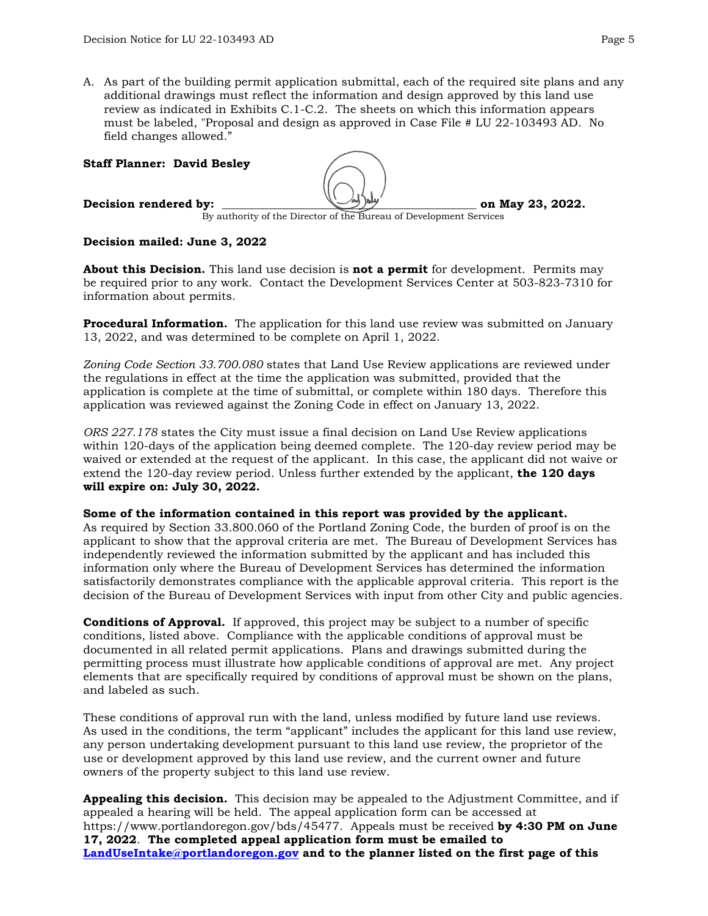A. As part of the building permit application submittal, each of the required site plans and any additional drawings must reflect the information and design approved by this land use review as indicated in Exhibits C.1-C.2. The sheets on which this information appears must be labeled, "Proposal and design as approved in Case File # LU 22-103493 AD. No field changes allowed."

#### **Staff Planner: David Besley**



**Decision rendered by: and the set of the set of May 23, 2022.** 

By authority of the Director of the Bureau of Development Services

### **Decision mailed: June 3, 2022**

**About this Decision.** This land use decision is **not a permit** for development. Permits may be required prior to any work. Contact the Development Services Center at 503-823-7310 for information about permits.

**Procedural Information.** The application for this land use review was submitted on January 13, 2022, and was determined to be complete on April 1, 2022.

*Zoning Code Section 33.700.080* states that Land Use Review applications are reviewed under the regulations in effect at the time the application was submitted, provided that the application is complete at the time of submittal, or complete within 180 days. Therefore this application was reviewed against the Zoning Code in effect on January 13, 2022.

*ORS 227.178* states the City must issue a final decision on Land Use Review applications within 120-days of the application being deemed complete. The 120-day review period may be waived or extended at the request of the applicant. In this case, the applicant did not waive or extend the 120-day review period. Unless further extended by the applicant, **the 120 days will expire on: July 30, 2022.**

#### **Some of the information contained in this report was provided by the applicant.**

As required by Section 33.800.060 of the Portland Zoning Code, the burden of proof is on the applicant to show that the approval criteria are met. The Bureau of Development Services has independently reviewed the information submitted by the applicant and has included this information only where the Bureau of Development Services has determined the information satisfactorily demonstrates compliance with the applicable approval criteria. This report is the decision of the Bureau of Development Services with input from other City and public agencies.

**Conditions of Approval.** If approved, this project may be subject to a number of specific conditions, listed above. Compliance with the applicable conditions of approval must be documented in all related permit applications. Plans and drawings submitted during the permitting process must illustrate how applicable conditions of approval are met. Any project elements that are specifically required by conditions of approval must be shown on the plans, and labeled as such.

These conditions of approval run with the land, unless modified by future land use reviews. As used in the conditions, the term "applicant" includes the applicant for this land use review, any person undertaking development pursuant to this land use review, the proprietor of the use or development approved by this land use review, and the current owner and future owners of the property subject to this land use review.

**Appealing this decision.** This decision may be appealed to the Adjustment Committee, and if appealed a hearing will be held. The appeal application form can be accessed at https://www.portlandoregon.gov/bds/45477. Appeals must be received **by 4:30 PM on June 17, 2022**. **The completed appeal application form must be emailed to [LandUseIntake@portlandoregon.gov](mailto:LandUseIntake@portlandoregon.gov) and to the planner listed on the first page of this**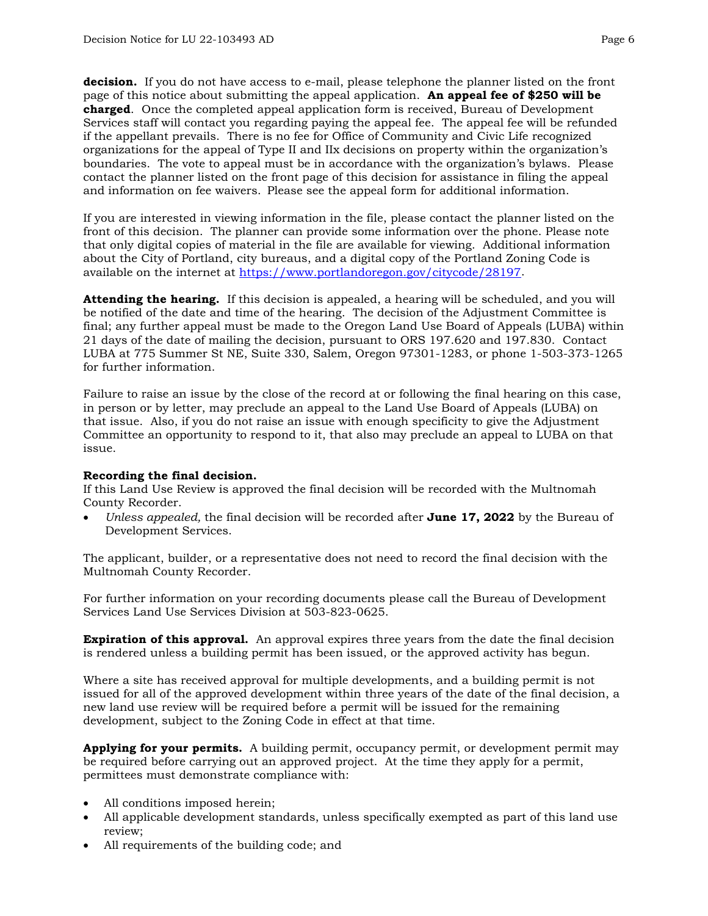**decision.** If you do not have access to e-mail, please telephone the planner listed on the front page of this notice about submitting the appeal application. **An appeal fee of \$250 will be charged**. Once the completed appeal application form is received, Bureau of Development Services staff will contact you regarding paying the appeal fee. The appeal fee will be refunded if the appellant prevails. There is no fee for Office of Community and Civic Life recognized organizations for the appeal of Type II and IIx decisions on property within the organization's boundaries. The vote to appeal must be in accordance with the organization's bylaws. Please contact the planner listed on the front page of this decision for assistance in filing the appeal and information on fee waivers. Please see the appeal form for additional information.

If you are interested in viewing information in the file, please contact the planner listed on the front of this decision. The planner can provide some information over the phone. Please note that only digital copies of material in the file are available for viewing. Additional information about the City of Portland, city bureaus, and a digital copy of the Portland Zoning Code is available on the internet at [https://www.portlandoregon.gov/citycode/28197.](https://www.portlandoregon.gov/citycode/28197)

**Attending the hearing.** If this decision is appealed, a hearing will be scheduled, and you will be notified of the date and time of the hearing. The decision of the Adjustment Committee is final; any further appeal must be made to the Oregon Land Use Board of Appeals (LUBA) within 21 days of the date of mailing the decision, pursuant to ORS 197.620 and 197.830. Contact LUBA at 775 Summer St NE, Suite 330, Salem, Oregon 97301-1283, or phone 1-503-373-1265 for further information.

Failure to raise an issue by the close of the record at or following the final hearing on this case, in person or by letter, may preclude an appeal to the Land Use Board of Appeals (LUBA) on that issue. Also, if you do not raise an issue with enough specificity to give the Adjustment Committee an opportunity to respond to it, that also may preclude an appeal to LUBA on that issue.

#### **Recording the final decision.**

If this Land Use Review is approved the final decision will be recorded with the Multnomah County Recorder.

• *Unless appealed,* the final decision will be recorded after **June 17, 2022** by the Bureau of Development Services.

The applicant, builder, or a representative does not need to record the final decision with the Multnomah County Recorder.

For further information on your recording documents please call the Bureau of Development Services Land Use Services Division at 503-823-0625.

**Expiration of this approval.** An approval expires three years from the date the final decision is rendered unless a building permit has been issued, or the approved activity has begun.

Where a site has received approval for multiple developments, and a building permit is not issued for all of the approved development within three years of the date of the final decision, a new land use review will be required before a permit will be issued for the remaining development, subject to the Zoning Code in effect at that time.

**Applying for your permits.** A building permit, occupancy permit, or development permit may be required before carrying out an approved project. At the time they apply for a permit, permittees must demonstrate compliance with:

- All conditions imposed herein;
- All applicable development standards, unless specifically exempted as part of this land use review;
- All requirements of the building code; and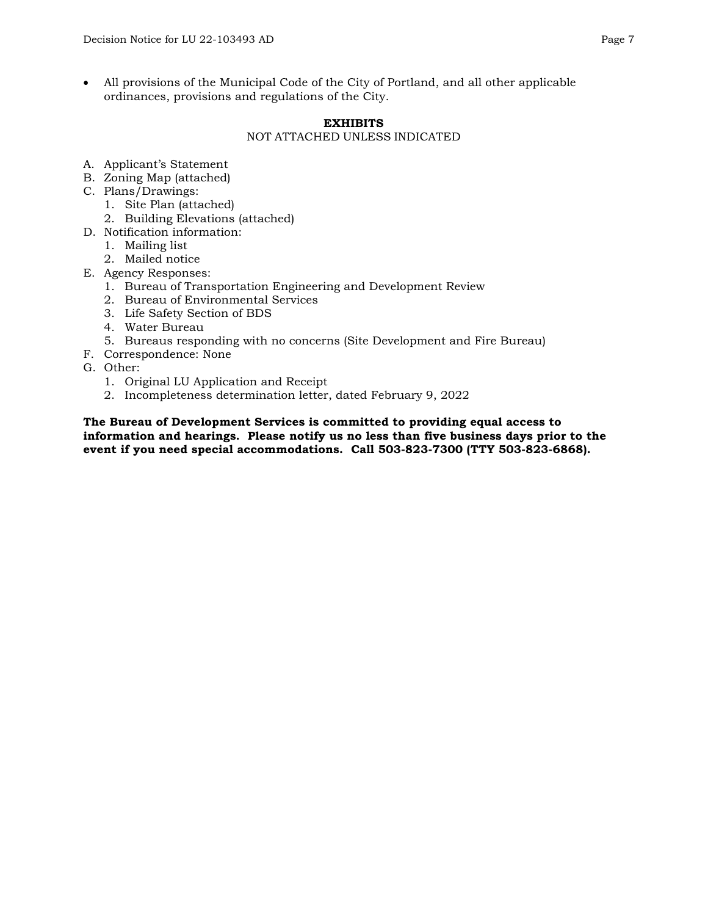• All provisions of the Municipal Code of the City of Portland, and all other applicable ordinances, provisions and regulations of the City.

#### **EXHIBITS** NOT ATTACHED UNLESS INDICATED

- A. Applicant's Statement
- B. Zoning Map (attached)
- C. Plans/Drawings:
	- 1. Site Plan (attached)
	- 2. Building Elevations (attached)
- D. Notification information:
	- 1. Mailing list
	- 2. Mailed notice
- E. Agency Responses:
	- 1. Bureau of Transportation Engineering and Development Review
	- 2. Bureau of Environmental Services
	- 3. Life Safety Section of BDS
	- 4. Water Bureau
	- 5. Bureaus responding with no concerns (Site Development and Fire Bureau)
- F. Correspondence: None
- G. Other:
	- 1. Original LU Application and Receipt
	- 2. Incompleteness determination letter, dated February 9, 2022

**The Bureau of Development Services is committed to providing equal access to information and hearings. Please notify us no less than five business days prior to the event if you need special accommodations. Call 503-823-7300 (TTY 503-823-6868).**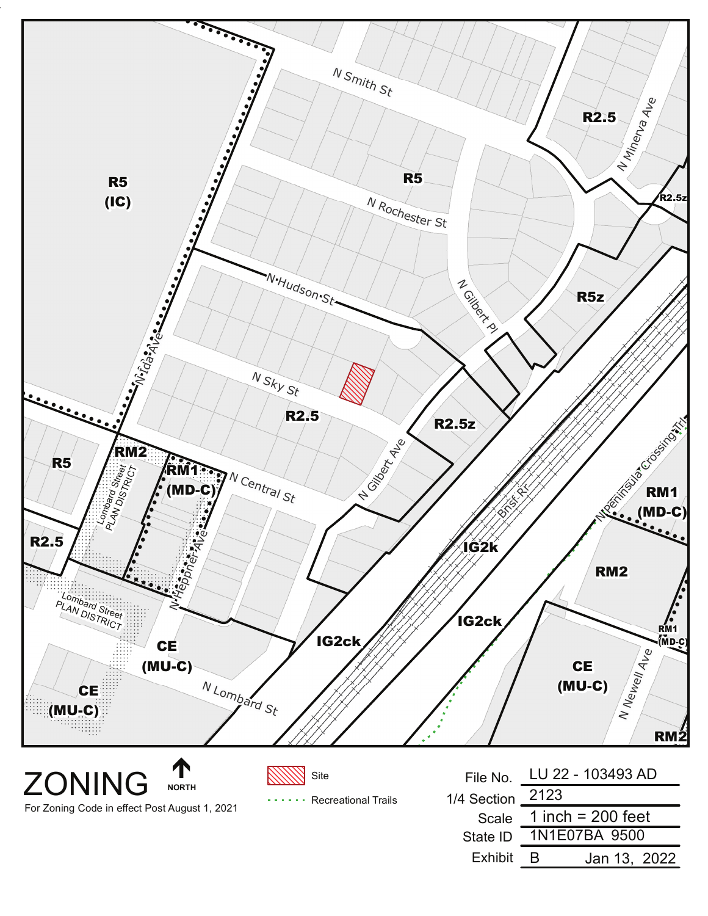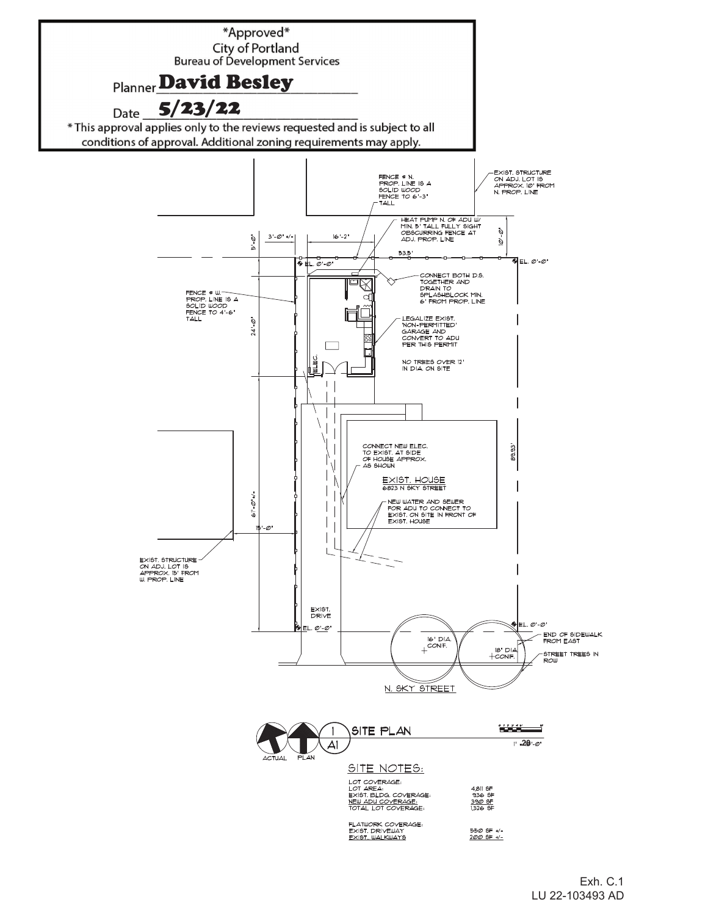